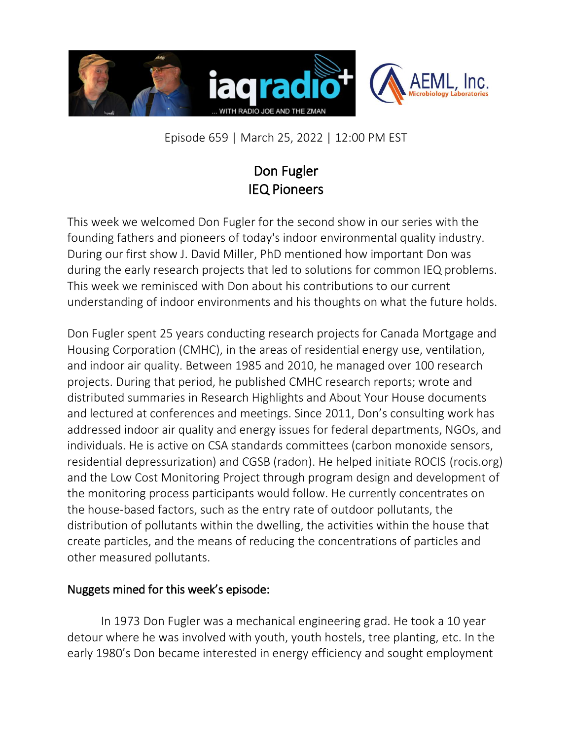

Episode 659 | March 25, 2022 | 12:00 PM EST

## Don Fugler IEQ Pioneers

This week we welcomed Don Fugler for the second show in our series with the founding fathers and pioneers of today's indoor environmental quality industry. During our first show J. David Miller, PhD mentioned how important Don was during the early research projects that led to solutions for common IEQ problems. This week we reminisced with Don about his contributions to our current understanding of indoor environments and his thoughts on what the future holds.

Don Fugler spent 25 years conducting research projects for Canada Mortgage and Housing Corporation (CMHC), in the areas of residential energy use, ventilation, and indoor air quality. Between 1985 and 2010, he managed over 100 research projects. During that period, he published CMHC research reports; wrote and distributed summaries in Research Highlights and About Your House documents and lectured at conferences and meetings. Since 2011, Don's consulting work has addressed indoor air quality and energy issues for federal departments, NGOs, and individuals. He is active on CSA standards committees (carbon monoxide sensors, residential depressurization) and CGSB (radon). He helped initiate ROCIS (rocis.org) and the Low Cost Monitoring Project through program design and development of the monitoring process participants would follow. He currently concentrates on the house-based factors, such as the entry rate of outdoor pollutants, the distribution of pollutants within the dwelling, the activities within the house that create particles, and the means of reducing the concentrations of particles and other measured pollutants.

## Nuggets mined for this week's episode:

In 1973 Don Fugler was a mechanical engineering grad. He took a 10 year detour where he was involved with youth, youth hostels, tree planting, etc. In the early 1980's Don became interested in energy efficiency and sought employment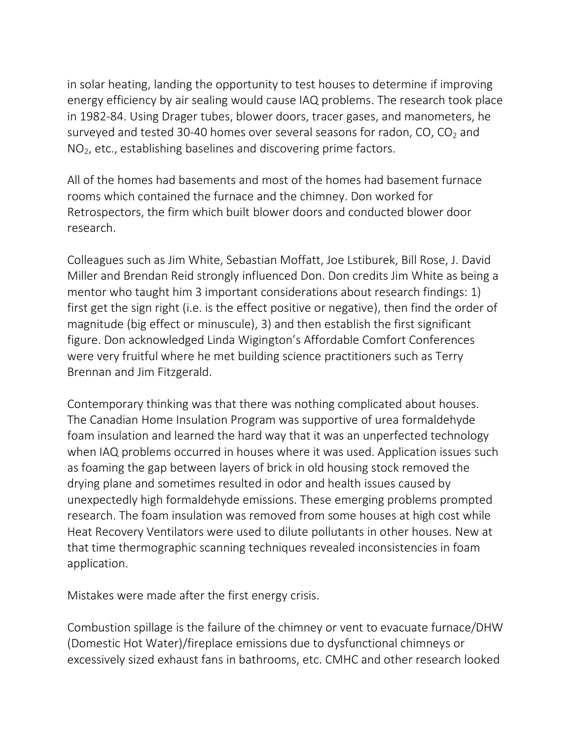in solar heating, landing the opportunity to test houses to determine if improving energy efficiency by air sealing would cause IAQ problems. The research took place in 1982-84. Using Drager tubes, blower doors, tracer gases, and manometers, he surveyed and tested 30-40 homes over several seasons for radon,  $CO$ ,  $CO<sub>2</sub>$  and  $NO<sub>2</sub>$ , etc., establishing baselines and discovering prime factors.

All of the homes had basements and most of the homes had basement furnace rooms which contained the furnace and the chimney. Don worked for Retrospectors, the firm which built blower doors and conducted blower door research.

Colleagues such as Jim White, Sebastian Moffatt, Joe Lstiburek, Bill Rose, J. David Miller and Brendan Reid strongly influenced Don. Don credits Jim White as being a mentor who taught him 3 important considerations about research findings: 1) first get the sign right (i.e. is the effect positive or negative), then find the order of magnitude (big effect or minuscule), 3) and then establish the first significant figure. Don acknowledged Linda Wigington's Affordable Comfort Conferences were very fruitful where he met building science practitioners such as Terry Brennan and Jim Fitzgerald.

Contemporary thinking was that there was nothing complicated about houses. The Canadian Home Insulation Program was supportive of urea formaldehyde foam insulation and learned the hard way that it was an unperfected technology when IAQ problems occurred in houses where it was used. Application issues such as foaming the gap between layers of brick in old housing stock removed the drying plane and sometimes resulted in odor and health issues caused by unexpectedly high formaldehyde emissions. These emerging problems prompted research. The foam insulation was removed from some houses at high cost while Heat Recovery Ventilators were used to dilute pollutants in other houses. New at that time thermographic scanning techniques revealed inconsistencies in foam application.

Mistakes were made after the first energy crisis.

Combustion spillage is the failure of the chimney or vent to evacuate furnace/DHW (Domestic Hot Water)/fireplace emissions due to dysfunctional chimneys or excessively sized exhaust fans in bathrooms, etc. CMHC and other research looked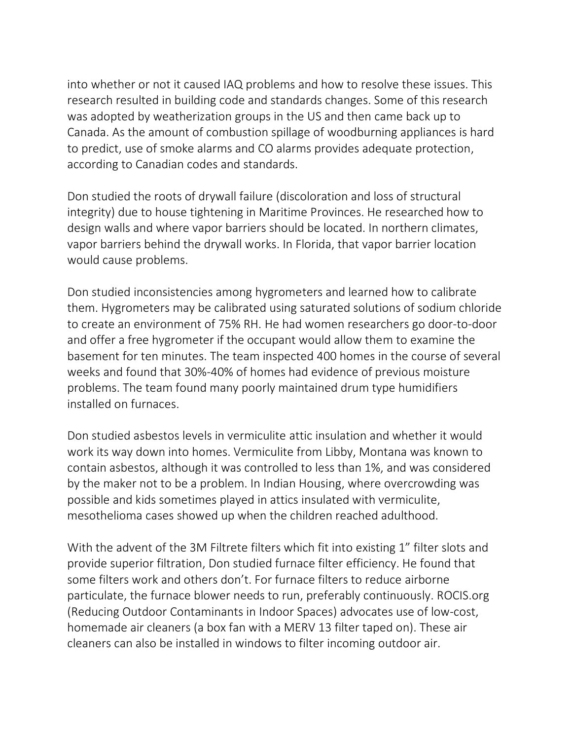into whether or not it caused IAQ problems and how to resolve these issues. This research resulted in building code and standards changes. Some of this research was adopted by weatherization groups in the US and then came back up to Canada. As the amount of combustion spillage of woodburning appliances is hard to predict, use of smoke alarms and CO alarms provides adequate protection, according to Canadian codes and standards.

Don studied the roots of drywall failure (discoloration and loss of structural integrity) due to house tightening in Maritime Provinces. He researched how to design walls and where vapor barriers should be located. In northern climates, vapor barriers behind the drywall works. In Florida, that vapor barrier location would cause problems.

Don studied inconsistencies among hygrometers and learned how to calibrate them. Hygrometers may be calibrated using saturated solutions of sodium chloride to create an environment of 75% RH. He had women researchers go door-to-door and offer a free hygrometer if the occupant would allow them to examine the basement for ten minutes. The team inspected 400 homes in the course of several weeks and found that 30%-40% of homes had evidence of previous moisture problems. The team found many poorly maintained drum type humidifiers installed on furnaces.

Don studied asbestos levels in vermiculite attic insulation and whether it would work its way down into homes. Vermiculite from Libby, Montana was known to contain asbestos, although it was controlled to less than 1%, and was considered by the maker not to be a problem. In Indian Housing, where overcrowding was possible and kids sometimes played in attics insulated with vermiculite, mesothelioma cases showed up when the children reached adulthood.

With the advent of the 3M Filtrete filters which fit into existing 1" filter slots and provide superior filtration, Don studied furnace filter efficiency. He found that some filters work and others don't. For furnace filters to reduce airborne particulate, the furnace blower needs to run, preferably continuously. ROCIS.org (Reducing Outdoor Contaminants in Indoor Spaces) advocates use of low-cost, homemade air cleaners (a box fan with a MERV 13 filter taped on). These air cleaners can also be installed in windows to filter incoming outdoor air.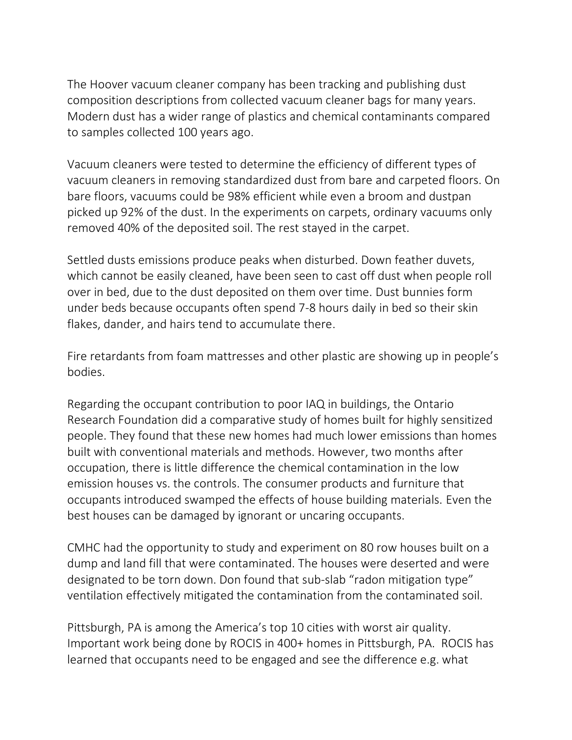The Hoover vacuum cleaner company has been tracking and publishing dust composition descriptions from collected vacuum cleaner bags for many years. Modern dust has a wider range of plastics and chemical contaminants compared to samples collected 100 years ago.

Vacuum cleaners were tested to determine the efficiency of different types of vacuum cleaners in removing standardized dust from bare and carpeted floors. On bare floors, vacuums could be 98% efficient while even a broom and dustpan picked up 92% of the dust. In the experiments on carpets, ordinary vacuums only removed 40% of the deposited soil. The rest stayed in the carpet.

Settled dusts emissions produce peaks when disturbed. Down feather duvets, which cannot be easily cleaned, have been seen to cast off dust when people roll over in bed, due to the dust deposited on them over time. Dust bunnies form under beds because occupants often spend 7-8 hours daily in bed so their skin flakes, dander, and hairs tend to accumulate there.

Fire retardants from foam mattresses and other plastic are showing up in people's bodies.

Regarding the occupant contribution to poor IAQ in buildings, the Ontario Research Foundation did a comparative study of homes built for highly sensitized people. They found that these new homes had much lower emissions than homes built with conventional materials and methods. However, two months after occupation, there is little difference the chemical contamination in the low emission houses vs. the controls. The consumer products and furniture that occupants introduced swamped the effects of house building materials. Even the best houses can be damaged by ignorant or uncaring occupants.

CMHC had the opportunity to study and experiment on 80 row houses built on a dump and land fill that were contaminated. The houses were deserted and were designated to be torn down. Don found that sub-slab "radon mitigation type" ventilation effectively mitigated the contamination from the contaminated soil.

Pittsburgh, PA is among the America's top 10 cities with worst air quality. Important work being done by ROCIS in 400+ homes in Pittsburgh, PA. ROCIS has learned that occupants need to be engaged and see the difference e.g. what